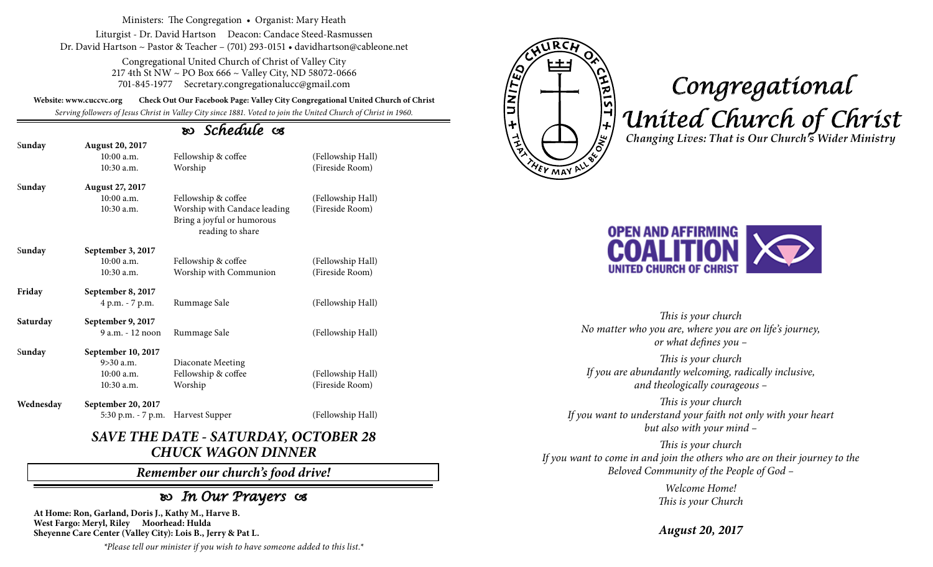Ministers: The Congregation • Organist: Mary Heath

Liturgist - Dr. David Hartson Deacon: Candace Steed-Rasmussen Dr. David Hartson ~ Pastor & Teacher – (701) 293-0151 • davidhartson@cableone.net

> Congregational United Church of Christ of Valley City 217 4th St NW ~ PO Box 666 ~ Valley City, ND 58072-0666 701-845-1977 Secretary.congregationalucc@gmail.com

**Website: www.cuccvc.org Check Out Our Facebook Page: Valley City Congregational United Church of Christ**

*Serving followers of Jesus Christ in Valley City since 1881. Voted to join the United Church of Christ in 1960.*

## *Schedule*

| Sunday    | <b>August 20, 2017</b> |                                                                                |                   |
|-----------|------------------------|--------------------------------------------------------------------------------|-------------------|
|           | $10:00$ a.m.           | Fellowship & coffee                                                            | (Fellowship Hall) |
|           | 10:30 a.m.             | Worship                                                                        | (Fireside Room)   |
| Sunday    | August 27, 2017        |                                                                                |                   |
|           | $10:00$ a.m.           | Fellowship & coffee                                                            | (Fellowship Hall) |
|           | 10:30 a.m.             | Worship with Candace leading<br>Bring a joyful or humorous<br>reading to share | (Fireside Room)   |
| Sunday    | September 3, 2017      |                                                                                |                   |
|           | $10:00$ a.m.           | Fellowship & coffee                                                            | (Fellowship Hall) |
|           | 10:30 a.m.             | Worship with Communion                                                         | (Fireside Room)   |
| Friday    | September 8, 2017      |                                                                                |                   |
|           | 4 p.m. - 7 p.m.        | Rummage Sale                                                                   | (Fellowship Hall) |
| Saturday  | September 9, 2017      |                                                                                |                   |
|           | $9a.m. - 12 noon$      | Rummage Sale                                                                   | (Fellowship Hall) |
| Sunday    | September 10, 2017     |                                                                                |                   |
|           | $9 > 30$ a.m.          | Diaconate Meeting                                                              |                   |
|           | $10:00$ a.m.           | Fellowship & coffee                                                            | (Fellowship Hall) |
|           | 10:30 a.m.             | Worship                                                                        | (Fireside Room)   |
| Wednesday | September 20, 2017     |                                                                                |                   |
|           | 5:30 p.m. - 7 p.m.     | Harvest Supper                                                                 | (Fellowship Hall) |

## *SAVE THE DATE - SATURDAY, OCTOBER 28 CHUCK WAGON DINNER*

*Remember our church's food drive!*

## *In Our Prayers*

**At Home: Ron, Garland, Doris J., Kathy M., Harve B. West Fargo: Meryl, Riley Moorhead: Hulda Sheyenne Care Center (Valley City): Lois B., Jerry & Pat L.** TUNITED **YEV MAY** 

**VALES IF A 3NO** 

## *Congregational United Church of Christ Changing Lives: That is Our Church's Wider Ministry*



*This is your church No matter who you are, where you are on life's journey, or what defines you –*

*This is your church If you are abundantly welcoming, radically inclusive, and theologically courageous –*

*This is your church If you want to understand your faith not only with your heart but also with your mind –*

*This is your church If you want to come in and join the others who are on their journey to the Beloved Community of the People of God –*

> *Welcome Home! This is your Church*

*August 20, 2017*

*\*Please tell our minister if you wish to have someone added to this list.\**